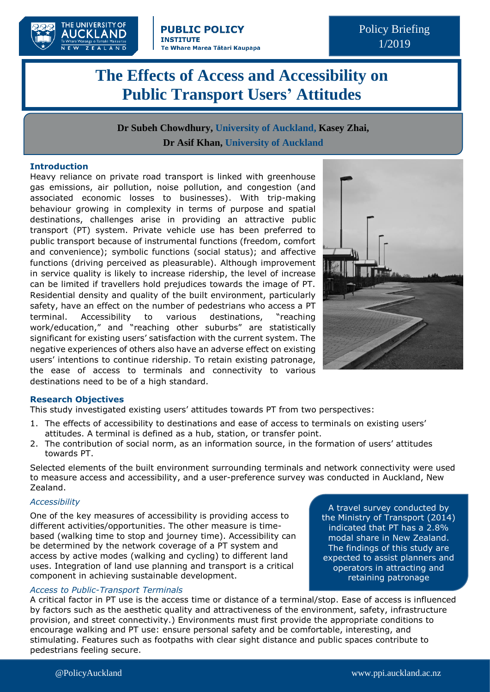

Policy Briefing 1/2019

# **The Effects of Access and Accessibility on Public Transport Users' Attitudes**

**Dr Subeh Chowdhury, University of Auckland, Kasey Zhai, Dr Asif Khan, University of Auckland**

### **Introduction**

Heavy reliance on private road transport is linked with greenhouse gas emissions, air pollution, noise pollution, and congestion (and associated economic losses to businesses). With trip-making behaviour growing in complexity in terms of purpose and spatial destinations, challenges arise in providing an attractive public transport (PT) system. Private vehicle use has been preferred to public transport because of instrumental functions (freedom, comfort and convenience); symbolic functions (social status); and affective functions (driving perceived as pleasurable). Although improvement in service quality is likely to increase ridership, the level of increase can be limited if travellers hold prejudices towards the image of PT. Residential density and quality of the built environment, particularly safety, have an effect on the number of pedestrians who access a PT terminal. Accessibility to various destinations, "reaching work/education," and "reaching other suburbs" are statistically significant for existing users' satisfaction with the current system. The negative experiences of others also have an adverse effect on existing users' intentions to continue ridership. To retain existing patronage, the ease of access to terminals and connectivity to various destinations need to be of a high standard.



#### **Research Objectives**

This study investigated existing users' attitudes towards PT from two perspectives:

- 1. The effects of accessibility to destinations and ease of access to terminals on existing users' attitudes. A terminal is defined as a hub, station, or transfer point.
- 2. The contribution of social norm, as an information source, in the formation of users' attitudes towards PT.

Selected elements of the built environment surrounding terminals and network connectivity were used to measure access and accessibility, and a user-preference survey was conducted in Auckland, New Zealand.

#### *Accessibility*

One of the key measures of accessibility is providing access to different activities/opportunities. The other measure is timebased (walking time to stop and journey time). Accessibility can be determined by the network coverage of a PT system and access by active modes (walking and cycling) to different land uses. Integration of land use planning and transport is a critical component in achieving sustainable development.

#### *Access to Public-Transport Terminals*

A travel survey conducted by the Ministry of Transport (2014) indicated that PT has a 2.8% modal share in New Zealand. The findings of this study are expected to assist planners and operators in attracting and retaining patronage

A critical factor in PT use is the access time or distance of a terminal/stop. Ease of access is influenced by factors such as the aesthetic quality and attractiveness of the environment, safety, infrastructure provision, and street connectivity.) Environments must first provide the appropriate conditions to encourage walking and PT use: ensure personal safety and be comfortable, interesting, and stimulating. Features such as footpaths with clear sight distance and public spaces contribute to pedestrians feeling secure.